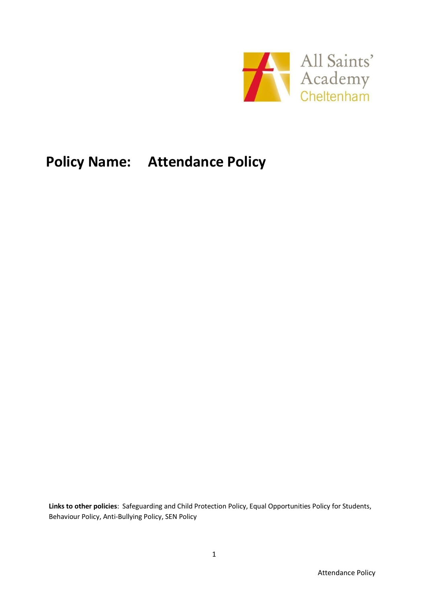

# **Policy Name: Attendance Policy**

**Links to other policies**: Safeguarding and Child Protection Policy, Equal Opportunities Policy for Students, Behaviour Policy, Anti-Bullying Policy, SEN Policy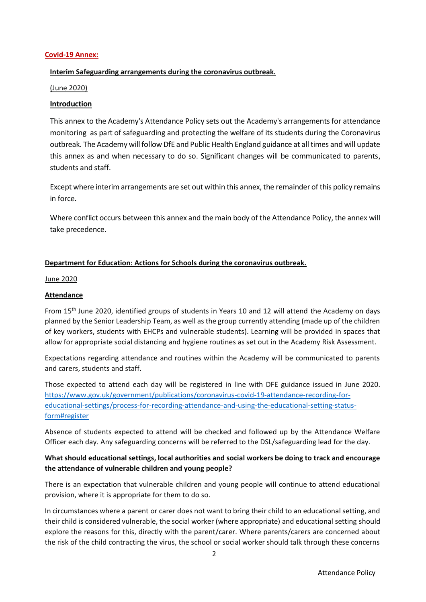#### **Covid-19 Annex:**

# **Interim Safeguarding arrangements during the coronavirus outbreak.**

#### (June 2020)

# **Introduction**

This annex to the Academy's Attendance Policy sets out the Academy's arrangements for attendance monitoring as part of safeguarding and protecting the welfare of its students during the Coronavirus outbreak. The Academy will follow DfE and Public Health England guidance at all times and will update this annex as and when necessary to do so. Significant changes will be communicated to parents, students and staff.

Except where interim arrangements are set out within this annex, the remainder of this policy remains in force.

Where conflict occurs between this annex and the main body of the Attendance Policy, the annex will take precedence.

## **Department for Education: Actions for Schools during the coronavirus outbreak.**

#### June 2020

## **Attendance**

From 15th June 2020, identified groups of students in Years 10 and 12 will attend the Academy on days planned by the Senior Leadership Team, as well as the group currently attending (made up of the children of key workers, students with EHCPs and vulnerable students). Learning will be provided in spaces that allow for appropriate social distancing and hygiene routines as set out in the Academy Risk Assessment.

Expectations regarding attendance and routines within the Academy will be communicated to parents and carers, students and staff.

Those expected to attend each day will be registered in line with DFE guidance issued in June 2020. [https://www.gov.uk/government/publications/coronavirus-covid-19-attendance-recording-for](https://www.gov.uk/government/publications/coronavirus-covid-19-attendance-recording-for-educational-settings/process-for-recording-attendance-and-using-the-educational-setting-status-form#register)[educational-settings/process-for-recording-attendance-and-using-the-educational-setting-status](https://www.gov.uk/government/publications/coronavirus-covid-19-attendance-recording-for-educational-settings/process-for-recording-attendance-and-using-the-educational-setting-status-form#register)[form#register](https://www.gov.uk/government/publications/coronavirus-covid-19-attendance-recording-for-educational-settings/process-for-recording-attendance-and-using-the-educational-setting-status-form#register) 

Absence of students expected to attend will be checked and followed up by the Attendance Welfare Officer each day. Any safeguarding concerns will be referred to the DSL/safeguarding lead for the day.

# **What should educational settings, local authorities and social workers be doing to track and encourage the attendance of vulnerable children and young people?**

There is an expectation that vulnerable children and young people will continue to attend educational provision, where it is appropriate for them to do so.

In circumstances where a parent or carer does not want to bring their child to an educational setting, and their child is considered vulnerable, the social worker (where appropriate) and educational setting should explore the reasons for this, directly with the parent/carer. Where parents/carers are concerned about the risk of the child contracting the virus, the school or social worker should talk through these concerns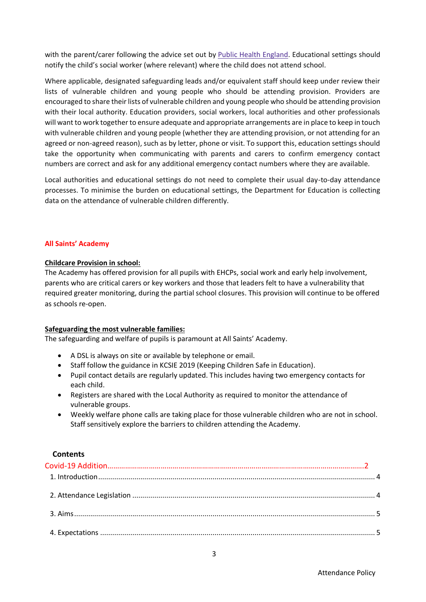with the parent/carer following the advice set out by Public Health [England.](https://coronavirusresources.phe.gov.uk/) Educational settings should notify the child's social worker (where relevant) where the child does not attend school.

Where applicable, designated safeguarding leads and/or equivalent staff should keep under review their lists of vulnerable children and young people who should be attending provision. Providers are encouraged to share their lists of vulnerable children and young people who should be attending provision with their local authority. Education providers, social workers, local authorities and other professionals will want to work together to ensure adequate and appropriate arrangements are in place to keep in touch with vulnerable children and young people (whether they are attending provision, or not attending for an agreed or non-agreed reason), such as by letter, phone or visit. To support this, education settings should take the opportunity when communicating with parents and carers to confirm emergency contact numbers are correct and ask for any additional emergency contact numbers where they are available.

Local authorities and educational settings do not need to complete their usual day-to-day attendance processes. To minimise the burden on educational settings, the Department for Education is collecting data on the attendance of vulnerable children differently.

#### **All Saints' Academy**

#### **Childcare Provision in school:**

The Academy has offered provision for all pupils with EHCPs, social work and early help involvement, parents who are critical carers or key workers and those that leaders felt to have a vulnerability that required greater monitoring, during the partial school closures. This provision will continue to be offered as schools re-open.

#### **Safeguarding the most vulnerable families:**

The safeguarding and welfare of pupils is paramount at All Saints' Academy.

- A DSL is always on site or available by telephone or email.
- Staff follow the guidance in KCSIE 2019 (Keeping Children Safe in Education).
- Pupil contact details are regularly updated. This includes having two emergency contacts for each child.
- Registers are shared with the Local Authority as required to monitor the attendance of vulnerable groups.
- Weekly welfare phone calls are taking place for those vulnerable children who are not in school. Staff sensitively explore the barriers to children attending the Academy.

#### **Contents**

3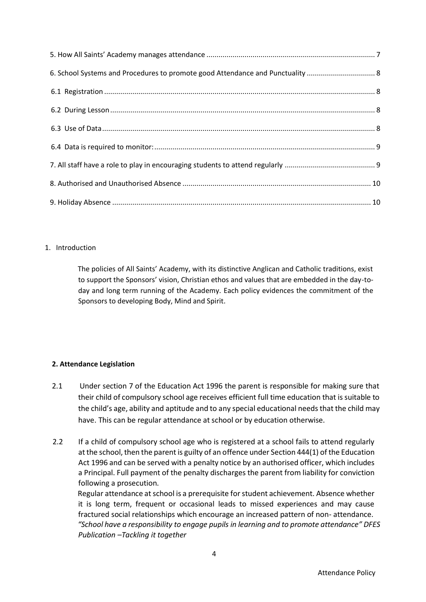| 6. School Systems and Procedures to promote good Attendance and Punctuality  8 |  |
|--------------------------------------------------------------------------------|--|
|                                                                                |  |
|                                                                                |  |
|                                                                                |  |
|                                                                                |  |
|                                                                                |  |
|                                                                                |  |
|                                                                                |  |

# <span id="page-3-0"></span>1. Introduction

The policies of All Saints' Academy, with its distinctive Anglican and Catholic traditions, exist to support the Sponsors' vision, Christian ethos and values that are embedded in the day-today and long term running of the Academy. Each policy evidences the commitment of the Sponsors to developing Body, Mind and Spirit.

# <span id="page-3-1"></span>**2. Attendance Legislation**

- 2.1 Under section 7 of the Education Act 1996 the parent is responsible for making sure that their child of compulsory school age receives efficient full time education that is suitable to the child's age, ability and aptitude and to any special educational needs that the child may have. This can be regular attendance at school or by education otherwise.
- 2.2 If a child of compulsory school age who is registered at a school fails to attend regularly at the school, then the parent is guilty of an offence under Section 444(1) of the Education Act 1996 and can be served with a penalty notice by an authorised officer, which includes a Principal. Full payment of the penalty discharges the parent from liability for conviction following a prosecution.

Regular attendance at school is a prerequisite for student achievement. Absence whether it is long term, frequent or occasional leads to missed experiences and may cause fractured social relationships which encourage an increased pattern of non- attendance. *"School have a responsibility to engage pupils in learning and to promote attendance" DFES Publication –Tackling it together*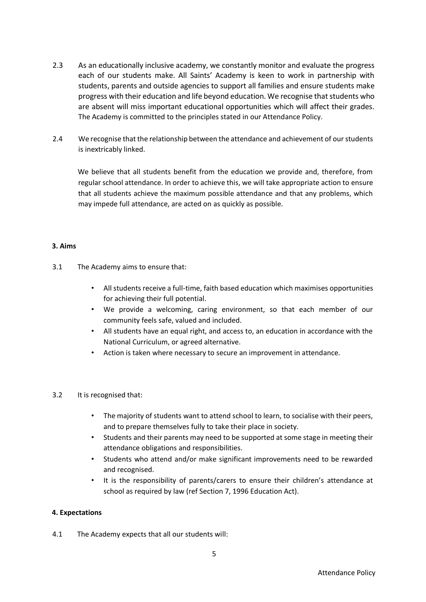- 2.3 As an educationally inclusive academy, we constantly monitor and evaluate the progress each of our students make. All Saints' Academy is keen to work in partnership with students, parents and outside agencies to support all families and ensure students make progress with their education and life beyond education. We recognise that students who are absent will miss important educational opportunities which will affect their grades. The Academy is committed to the principles stated in our Attendance Policy.
- 2.4 We recognise that the relationship between the attendance and achievement of our students is inextricably linked.

We believe that all students benefit from the education we provide and, therefore, from regular school attendance. In order to achieve this, we will take appropriate action to ensure that all students achieve the maximum possible attendance and that any problems, which may impede full attendance, are acted on as quickly as possible.

#### <span id="page-4-0"></span>**3. Aims**

- 3.1 The Academy aims to ensure that:
	- All students receive a full-time, faith based education which maximises opportunities for achieving their full potential.
	- We provide a welcoming, caring environment, so that each member of our community feels safe, valued and included.
	- All students have an equal right, and access to, an education in accordance with the National Curriculum, or agreed alternative.
	- Action is taken where necessary to secure an improvement in attendance.

#### 3.2 It is recognised that:

- The majority of students want to attend school to learn, to socialise with their peers, and to prepare themselves fully to take their place in society.
- Students and their parents may need to be supported at some stage in meeting their attendance obligations and responsibilities.
- Students who attend and/or make significant improvements need to be rewarded and recognised.
- It is the responsibility of parents/carers to ensure their children's attendance at school as required by law (ref Section 7, 1996 Education Act).

#### <span id="page-4-1"></span>**4. Expectations**

4.1 The Academy expects that all our students will: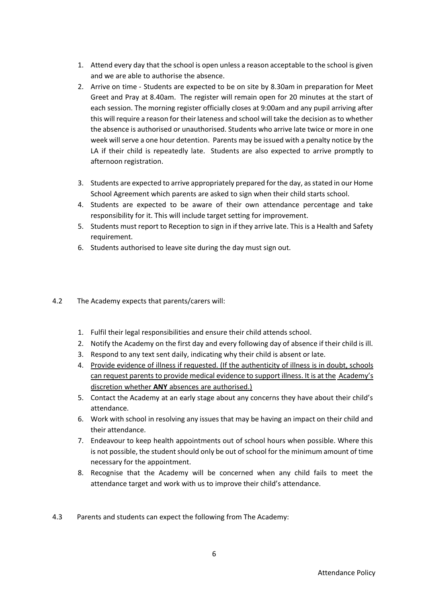- 1. Attend every day that the school is open unless a reason acceptable to the school is given and we are able to authorise the absence.
- 2. Arrive on time Students are expected to be on site by 8.30am in preparation for Meet Greet and Pray at 8.40am. The register will remain open for 20 minutes at the start of each session. The morning register officially closes at 9:00am and any pupil arriving after this will require a reason for their lateness and school will take the decision as to whether the absence is authorised or unauthorised. Students who arrive late twice or more in one week will serve a one hour detention. Parents may be issued with a penalty notice by the LA if their child is repeatedly late. Students are also expected to arrive promptly to afternoon registration.
- 3. Students are expected to arrive appropriately prepared for the day, as stated in our Home School Agreement which parents are asked to sign when their child starts school.
- 4. Students are expected to be aware of their own attendance percentage and take responsibility for it. This will include target setting for improvement.
- 5. Students must report to Reception to sign in if they arrive late. This is a Health and Safety requirement.
- 6. Students authorised to leave site during the day must sign out.

# 4.2 The Academy expects that parents/carers will:

- 1. Fulfil their legal responsibilities and ensure their child attends school.
- 2. Notify the Academy on the first day and every following day of absence if their child is ill.
- 3. Respond to any text sent daily, indicating why their child is absent or late.
- 4. Provide evidence of illness if requested. (If the authenticity of illness is in doubt, schools can request parents to provide medical evidence to support illness. It is at the Academy's discretion whether **ANY** absences are authorised.)
- 5. Contact the Academy at an early stage about any concerns they have about their child's attendance.
- 6. Work with school in resolving any issues that may be having an impact on their child and their attendance.
- 7. Endeavour to keep health appointments out of school hours when possible. Where this is not possible, the student should only be out of school for the minimum amount of time necessary for the appointment.
- 8. Recognise that the Academy will be concerned when any child fails to meet the attendance target and work with us to improve their child's attendance.
- 4.3 Parents and students can expect the following from The Academy: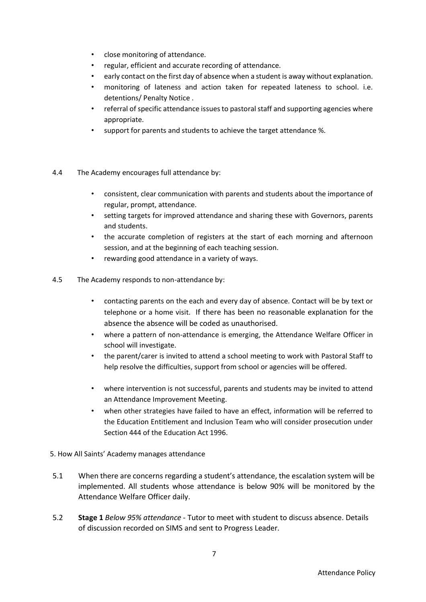- close monitoring of attendance.
- regular, efficient and accurate recording of attendance.
- early contact on the first day of absence when a student is away without explanation.
- monitoring of lateness and action taken for repeated lateness to school. i.e. detentions/ Penalty Notice .
- referral of specific attendance issues to pastoral staff and supporting agencies where appropriate.
- support for parents and students to achieve the target attendance %.
- 4.4 The Academy encourages full attendance by:
	- consistent, clear communication with parents and students about the importance of regular, prompt, attendance.
	- setting targets for improved attendance and sharing these with Governors, parents and students.
	- the accurate completion of registers at the start of each morning and afternoon session, and at the beginning of each teaching session.
	- rewarding good attendance in a variety of ways.
- 4.5 The Academy responds to non-attendance by:
	- contacting parents on the each and every day of absence. Contact will be by text or telephone or a home visit. If there has been no reasonable explanation for the absence the absence will be coded as unauthorised.
	- where a pattern of non-attendance is emerging, the Attendance Welfare Officer in school will investigate.
	- the parent/carer is invited to attend a school meeting to work with Pastoral Staff to help resolve the difficulties, support from school or agencies will be offered.
	- where intervention is not successful, parents and students may be invited to attend an Attendance Improvement Meeting.
	- when other strategies have failed to have an effect, information will be referred to the Education Entitlement and Inclusion Team who will consider prosecution under Section 444 of the Education Act 1996.
- <span id="page-6-0"></span>5. How All Saints' Academy manages attendance
- 5.1 When there are concerns regarding a student's attendance, the escalation system will be implemented. All students whose attendance is below 90% will be monitored by the Attendance Welfare Officer daily.
- 5.2 **Stage 1** *Below 95% attendance*  Tutor to meet with student to discuss absence. Details of discussion recorded on SIMS and sent to Progress Leader.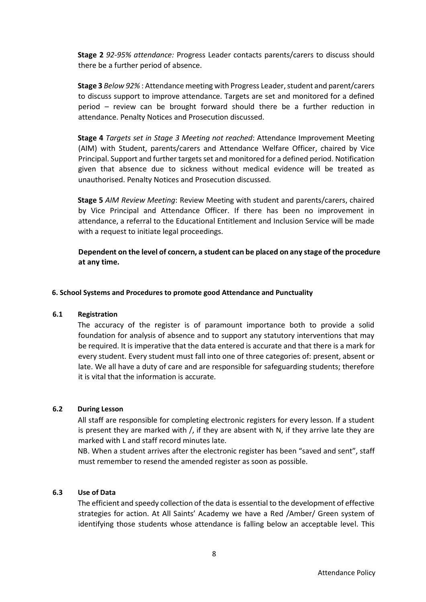**Stage 2** *92-95% attendance:* Progress Leader contacts parents/carers to discuss should there be a further period of absence.

**Stage 3** *Below 92%* : Attendance meeting with Progress Leader, student and parent/carers to discuss support to improve attendance. Targets are set and monitored for a defined period – review can be brought forward should there be a further reduction in attendance. Penalty Notices and Prosecution discussed.

**Stage 4** *Targets set in Stage 3 Meeting not reached*: Attendance Improvement Meeting (AIM) with Student, parents/carers and Attendance Welfare Officer, chaired by Vice Principal. Support and further targets set and monitored for a defined period. Notification given that absence due to sickness without medical evidence will be treated as unauthorised. Penalty Notices and Prosecution discussed.

**Stage 5** *AIM Review Meeting*: Review Meeting with student and parents/carers, chaired by Vice Principal and Attendance Officer. If there has been no improvement in attendance, a referral to the Educational Entitlement and Inclusion Service will be made with a request to initiate legal proceedings.

**Dependent on the level of concern, a student can be placed on any stage of the procedure at any time.**

## <span id="page-7-0"></span>**6. School Systems and Procedures to promote good Attendance and Punctuality**

#### <span id="page-7-1"></span>**6.1 Registration**

The accuracy of the register is of paramount importance both to provide a solid foundation for analysis of absence and to support any statutory interventions that may be required. It is imperative that the data entered is accurate and that there is a mark for every student. Every student must fall into one of three categories of: present, absent or late. We all have a duty of care and are responsible for safeguarding students; therefore it is vital that the information is accurate.

#### <span id="page-7-2"></span>**6.2 During Lesson**

All staff are responsible for completing electronic registers for every lesson. If a student is present they are marked with  $/$ , if they are absent with N, if they arrive late they are marked with L and staff record minutes late.

NB. When a student arrives after the electronic register has been "saved and sent", staff must remember to resend the amended register as soon as possible.

#### <span id="page-7-3"></span>**6.3 Use of Data**

The efficient and speedy collection of the data is essential to the development of effective strategies for action. At All Saints' Academy we have a Red /Amber/ Green system of identifying those students whose attendance is falling below an acceptable level. This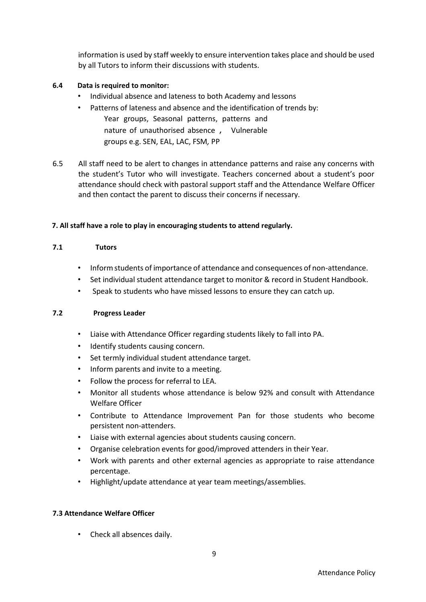information is used by staff weekly to ensure intervention takes place and should be used by all Tutors to inform their discussions with students.

# <span id="page-8-0"></span>**6.4 Data is required to monitor:**

- Individual absence and lateness to both Academy and lessons
- Patterns of lateness and absence and the identification of trends by: Year groups, Seasonal patterns, patterns and nature of unauthorised absence , Vulnerable groups e.g. SEN, EAL, LAC, FSM*,* PP
- 6.5 All staff need to be alert to changes in attendance patterns and raise any concerns with the student's Tutor who will investigate. Teachers concerned about a student's poor attendance should check with pastoral support staff and the Attendance Welfare Officer and then contact the parent to discuss their concerns if necessary.

# <span id="page-8-1"></span>**7. All staff have a role to play in encouraging students to attend regularly.**

# **7.1 Tutors**

- Inform students of importance of attendance and consequences of non-attendance.
- Set individual student attendance target to monitor & record in Student Handbook.
- Speak to students who have missed lessons to ensure they can catch up.

# **7.2 Progress Leader**

- Liaise with Attendance Officer regarding students likely to fall into PA.
- Identify students causing concern.
- Set termly individual student attendance target.
- Inform parents and invite to a meeting.
- Follow the process for referral to LEA.
- Monitor all students whose attendance is below 92% and consult with Attendance Welfare Officer
- Contribute to Attendance Improvement Pan for those students who become persistent non-attenders.
- Liaise with external agencies about students causing concern.
- Organise celebration events for good/improved attenders in their Year.
- Work with parents and other external agencies as appropriate to raise attendance percentage.
- Highlight/update attendance at year team meetings/assemblies.

# **7.3 Attendance Welfare Officer**

• Check all absences daily.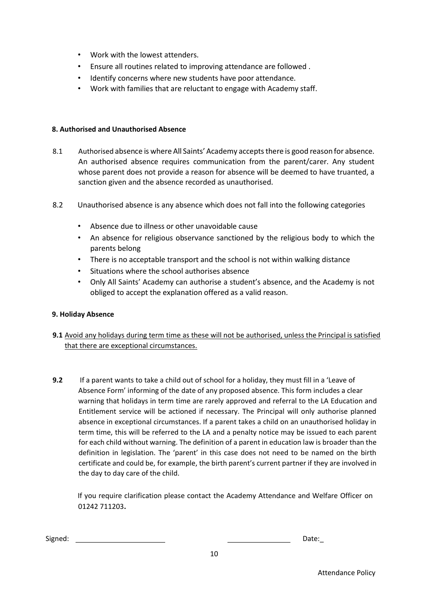- Work with the lowest attenders.
- Ensure all routines related to improving attendance are followed .
- Identify concerns where new students have poor attendance.
- Work with families that are reluctant to engage with Academy staff.

## <span id="page-9-0"></span>**8. Authorised and Unauthorised Absence**

- 8.1 Authorised absence is where All Saints' Academy accepts there is good reason for absence. An authorised absence requires communication from the parent/carer. Any student whose parent does not provide a reason for absence will be deemed to have truanted, a sanction given and the absence recorded as unauthorised.
- 8.2 Unauthorised absence is any absence which does not fall into the following categories
	- Absence due to illness or other unavoidable cause
	- An absence for religious observance sanctioned by the religious body to which the parents belong
	- There is no acceptable transport and the school is not within walking distance
	- Situations where the school authorises absence
	- Only All Saints' Academy can authorise a student's absence, and the Academy is not obliged to accept the explanation offered as a valid reason.

# <span id="page-9-1"></span>**9. Holiday Absence**

- **9.1** Avoid any holidays during term time as these will not be authorised, unless the Principal is satisfied that there are exceptional circumstances.
- **9.2** If a parent wants to take a child out of school for a holiday, they must fill in a 'Leave of Absence Form' informing of the date of any proposed absence. This form includes a clear warning that holidays in term time are rarely approved and referral to the LA Education and Entitlement service will be actioned if necessary. The Principal will only authorise planned absence in exceptional circumstances. If a parent takes a child on an unauthorised holiday in term time, this will be referred to the LA and a penalty notice may be issued to each parent for each child without warning. The definition of a parent in education law is broader than the definition in legislation. The 'parent' in this case does not need to be named on the birth certificate and could be, for example, the birth parent's current partner if they are involved in the day to day care of the child.

If you require clarification please contact the Academy Attendance and Welfare Officer on 01242 711203**.**

| Signed: |  |  | Date: |
|---------|--|--|-------|
|---------|--|--|-------|